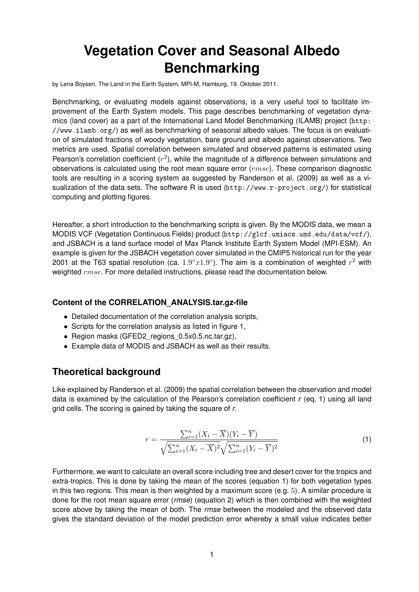# **Vegetation Cover and Seasonal Albedo Benchmarking**

by Lena Boysen, The Land in the Earth System, MPI-M, Hamburg, 19. Oktober 2011.

Benchmarking, or evaluating models against observations, is a very useful tool to facilitate improvement of the Earth System models. This page describes benchmarking of vegetation dynamics (land cover) as a part of the International Land Model Benchmarking (ILAMB) project (http: //www.ilamb.org/) as well as benchmarking of seasonal albedo values. The focus is on evaluation of simulated fractions of woody vegetation, bare ground and albedo against observations. Two metrics are used. Spatial correlation between simulated and observed patterns is estimated using Pearson's correlation coefficient  $(r^2)$ , while the magnitude of a difference between simulations and observations is calculated using the root mean square error  $(rmse)$ . These comparison diagnostic tools are resulting in a scoring system as suggested by Randerson et al. (2009) as well as a visualization of the data sets. The software R is used (http://www.r-project.org/) for statistical computing and plotting figures.

Hereafter, a short introduction to the benchmarking scripts is given. By the MODIS data, we mean a MODIS VCF (Vegetation Continuous Fields) product (http://glcf.umiacs.umd.edu/data/vcf/), and JSBACH is a land surface model of Max Planck Institute Earth System Model (MPI-ESM). An example is given for the JSBACH vegetation cover simulated in the CMIP5 historical run for the year 2001 at the T63 spatial resolution (ca.  $1.9^{\circ}x1.9^{\circ}$ ). The aim is a combination of weighted  $r^2$  with weighted rmse. For more detailed instructions, please read the documentation below.

#### **Content of the CORRELATION\_ANALYSIS.tar.gz-file**

- Detailed documentation of the correlation analysis scripts,
- Scripts for the correlation analysis as listed in figure 1,
- Region masks (GFED2 regions 0.5x0.5.nc.tar.gz),
- Example data of MODIS and JSBACH as well as their results.

# **Theoretical background**

Like explained by Randerson et al. (2009) the spatial correlation between the observation and model data is examined by the calculation of the Pearson's correlation coefficient *r* (eq. 1) using all land grid cells. The scoring is gained by taking the square of *r*.

$$
r = \frac{\sum_{i=1}^{n} (X_i - \overline{X})(Y_i - \overline{Y})}{\sqrt{\sum_{i=1}^{n} (X_i - \overline{X})^2} \sqrt{\sum_{i=1}^{n} (Y_i - \overline{Y})^2}}
$$
(1)

Furthermore, we want to calculate an overall score including tree and desert cover for the tropics and extra-tropics. This is done by taking the mean of the scores (equation 1) for both vegetation types in this two regions. This mean is then weighted by a maximum score (e.g. 5). A similar procedure is done for the root mean square error (*rmse*) (equation 2) which is then combined with the weighted score above by taking the mean of both. The *rmse* between the modeled and the observed data gives the standard deviation of the model prediction error whereby a small value indicates better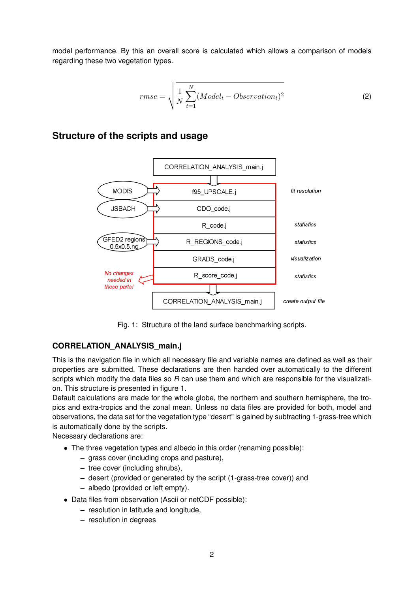model performance. By this an overall score is calculated which allows a comparison of models regarding these two vegetation types.

$$
rmse = \sqrt{\frac{1}{N} \sum_{t=1}^{N} (Model_t - Observation_t)^2}
$$
 (2)

## **Structure of the scripts and usage**



Fig. 1: Structure of the land surface benchmarking scripts.

### **CORRELATION\_ANALYSIS\_main.j**

This is the navigation file in which all necessary file and variable names are defined as well as their properties are submitted. These declarations are then handed over automatically to the different scripts which modify the data files so *R* can use them and which are responsible for the visualization. This structure is presented in figure 1.

Default calculations are made for the whole globe, the northern and southern hemisphere, the tropics and extra-tropics and the zonal mean. Unless no data files are provided for both, model and observations, the data set for the vegetation type "desert" is gained by subtracting 1-grass-tree which is automatically done by the scripts.

Necessary declarations are:

- The three vegetation types and albedo in this order (renaming possible):
	- **–** grass cover (including crops and pasture),
	- **–** tree cover (including shrubs),
	- **–** desert (provided or generated by the script (1-grass-tree cover)) and
	- **–** albedo (provided or left empty).
- Data files from observation (Ascii or netCDF possible):
	- **–** resolution in latitude and longitude,
	- **–** resolution in degrees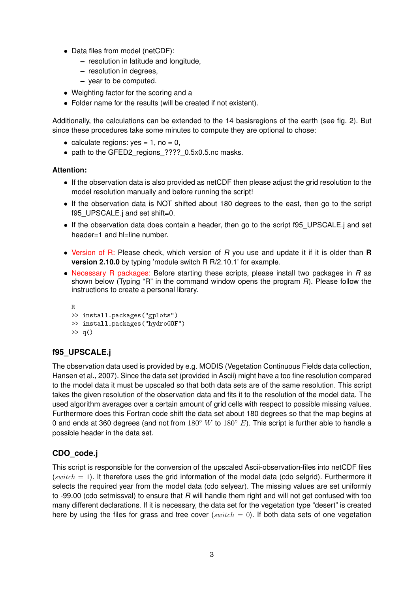- Data files from model (netCDF):
	- **–** resolution in latitude and longitude,
	- **–** resolution in degrees,
	- **–** year to be computed.
- Weighting factor for the scoring and a
- Folder name for the results (will be created if not existent).

Additionally, the calculations can be extended to the 14 basisregions of the earth (see fig. 2). But since these procedures take some minutes to compute they are optional to chose:

- calculate regions:  $yes = 1$ , no = 0,
- path to the GFED2\_regions\_????\_0.5x0.5.nc masks.

#### **Attention:**

- If the observation data is also provided as netCDF then please adjust the grid resolution to the model resolution manually and before running the script!
- If the observation data is NOT shifted about 180 degrees to the east, then go to the script f95 UPSCALE.j and set shift=0.
- If the observation data does contain a header, then go to the script f95 UPSCALE.j and set header=1 and hl=line number.
- Version of R: Please check, which version of *R* you use and update it if it is older than **R version 2.10.0** by typing 'module switch R R/2.10.1' for example.
- Necessary R packages: Before starting these scripts, please install two packages in *R* as shown below (Typing "R" in the command window opens the program *R*). Please follow the instructions to create a personal library.

```
R
>> install.packages("gplots")
>> install.packages("hydroGOF")
\gg q()
```
#### **f95\_UPSCALE.j**

The observation data used is provided by e.g. MODIS (Vegetation Continuous Fields data collection, Hansen et al., 2007). Since the data set (provided in Ascii) might have a too fine resolution compared to the model data it must be upscaled so that both data sets are of the same resolution. This script takes the given resolution of the observation data and fits it to the resolution of the model data. The used algorithm averages over a certain amount of grid cells with respect to possible missing values. Furthermore does this Fortran code shift the data set about 180 degrees so that the map begins at 0 and ends at 360 degrees (and not from  $180°$  W to  $180°$  E). This script is further able to handle a possible header in the data set.

#### **CDO\_code.j**

This script is responsible for the conversion of the upscaled Ascii-observation-files into netCDF files (switch  $= 1$ ). It therefore uses the grid information of the model data (cdo selgrid). Furthermore it selects the required year from the model data (cdo selyear). The missing values are set uniformly to -99.00 (cdo setmissval) to ensure that *R* will handle them right and will not get confused with too many different declarations. If it is necessary, the data set for the vegetation type "desert" is created here by using the files for grass and tree cover (switch  $= 0$ ). If both data sets of one vegetation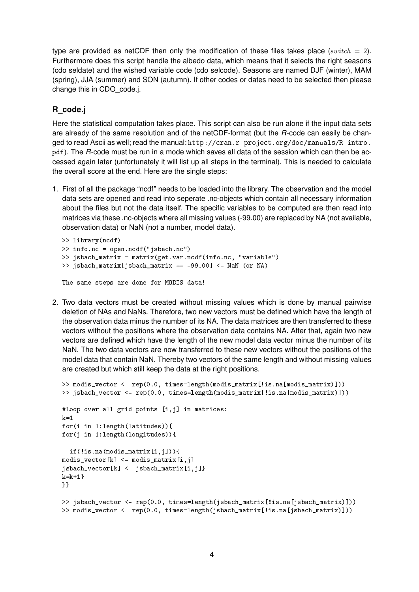type are provided as netCDF then only the modification of these files takes place (switch  $= 2$ ). Furthermore does this script handle the albedo data, which means that it selects the right seasons (cdo seldate) and the wished variable code (cdo selcode). Seasons are named DJF (winter), MAM (spring), JJA (summer) and SON (autumn). If other codes or dates need to be selected then please change this in CDO\_code.j.

## **R\_code.j**

Here the statistical computation takes place. This script can also be run alone if the input data sets are already of the same resolution and of the netCDF-format (but the *R*-code can easily be changed to read Ascii as well; read the manual: http://cran.r-project.org/doc/manuals/R-intro. pdf). The *R*-code must be run in a mode which saves all data of the session which can then be accessed again later (unfortunately it will list up all steps in the terminal). This is needed to calculate the overall score at the end. Here are the single steps:

1. First of all the package "ncdf" needs to be loaded into the library. The observation and the model data sets are opened and read into seperate .nc-objects which contain all necessary information about the files but not the data itself. The specific variables to be computed are then read into matrices via these .nc-objects where all missing values (-99.00) are replaced by NA (not available, observation data) or NaN (not a number, model data).

```
>> library(ncdf)
>> info.nc = open.ncdf("jsbach.nc")
>> jsbach_matrix = matrix(get.var.ncdf(info.nc, "variable")
>> jsbach_matrix[jsbach_matrix == -99.00] <- NaN (or NA)
The same steps are done for MODIS data!
```
2. Two data vectors must be created without missing values which is done by manual pairwise deletion of NAs and NaNs. Therefore, two new vectors must be defined which have the length of the observation data minus the number of its NA. The data matrices are then transferred to these vectors without the positions where the observation data contains NA. After that, again two new vectors are defined which have the length of the new model data vector minus the number of its NaN. The two data vectors are now transferred to these new vectors without the positions of the model data that contain NaN. Thereby two vectors of the same length and without missing values are created but which still keep the data at the right positions.

```
>> modis_vector <- rep(0.0, times=length(modis_matrix[!is.na[modis_matrix)]))
>> jsbach_vector <- rep(0.0, times=length(modis_matrix[!is.na[modis_matrix)]))
#Loop over all grid points [i,j] in matrices:
k=1for(i in 1:length(latitudes)){
for(j in 1:length(longitudes)){
  if(!is.na(modis_matrix[i,j])){
modis\_vector[k] <- modis\_matrix[i,j]jsbach_vector[k] <- jsbach_matrix[i,j]}
k=k+1}
}}
>> jsbach_vector <- rep(0.0, times=length(jsbach_matrix[!is.na[jsbach_matrix)]))
>> modis_vector <- rep(0.0, times=length(jsbach_matrix[!is.na[jsbach_matrix)]))
```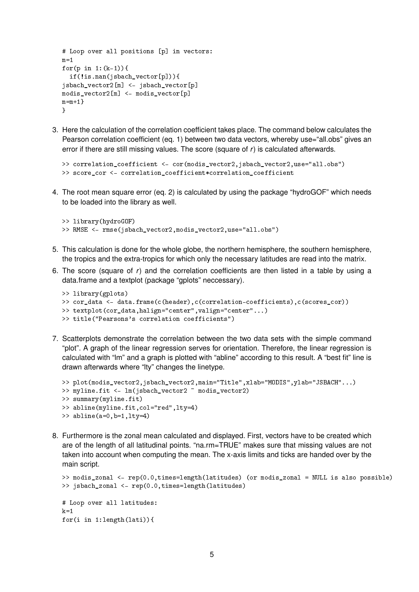```
# Loop over all positions [p] in vectors:
m=1for(p in 1:(k-1)){
  if(!is.nan(jsbach_vector[p])){
jsbach_vector2[m] <- jsbach_vector[p]
modis_vector2[m] <- modis_vector[p]
m=m+1}
}
```
3. Here the calculation of the correlation coefficient takes place. The command below calculates the Pearson correlation coefficient (eq. 1) between two data vectors, whereby use="all.obs" gives an error if there are still missing values. The score (square of *r*) is calculated afterwards.

```
>> correlation_coefficient <- cor(modis_vector2,jsbach_vector2,use="all.obs")
>> score_cor <- correlation_coefficient*correlation_coefficient
```
4. The root mean square error (eq. 2) is calculated by using the package "hydroGOF" which needs to be loaded into the library as well.

```
>> library(hydroGOF)
>> RMSE <- rmse(jsbach_vector2,modis_vector2,use="all.obs")
```
- 5. This calculation is done for the whole globe, the northern hemisphere, the southern hemisphere, the tropics and the extra-tropics for which only the necessary latitudes are read into the matrix.
- 6. The score (square of *r*) and the correlation coefficients are then listed in a table by using a data.frame and a textplot (package "gplots" neccessary).

```
>> library(gplots)
>> cor_data <- data.frame(c(header),c(correlation-coefficients),c(scores_cor))
>> textplot(cor_data,halign="center",valign="center"...)
>> title("Pearsons's correlation coefficients")
```
7. Scatterplots demonstrate the correlation between the two data sets with the simple command "plot". A graph of the linear regression serves for orientation. Therefore, the linear regression is calculated with "lm" and a graph is plotted with "abline" according to this result. A "best fit" line is drawn afterwards where "lty" changes the linetype.

```
>> plot(modis vector2,jsbach_vector2,main="Title",xlab="MODIS",ylab="JSBACH"...)
>> myline.fit <- lm(jsbach_vector2 ~ modis_vector2)
>> summary(myline.fit)
>> abline(myline.fit,col="red",lty=4)
>> abline(a=0,b=1,1ty=4)
```
8. Furthermore is the zonal mean calculated and displayed. First, vectors have to be created which are of the length of all latitudinal points. "na.rm=TRUE" makes sure that missing values are not taken into account when computing the mean. The x-axis limits and ticks are handed over by the main script.

```
>> modis_zonal <- rep(0.0,times=length(latitudes) (or modis_zonal = NULL is also possible)
>> jsbach_zonal <- rep(0.0,times=length(latitudes)
# Loop over all latitudes:
k=1for(i in 1:length(lati)){
```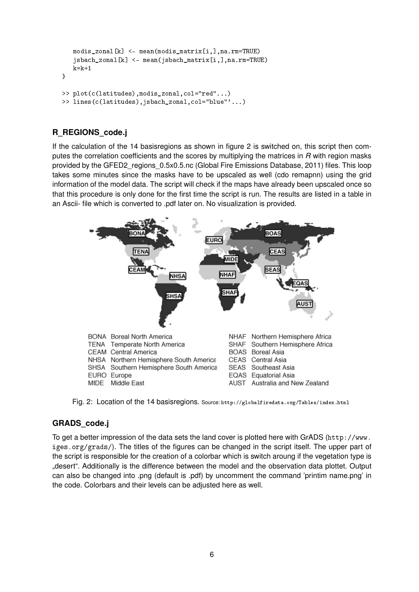```
modis_zonal[k] <- mean(modis_matrix[i,],na.rm=TRUE)
   jsbach_zonal[k] <- mean(jsbach_matrix[i,],na.rm=TRUE)
   k=k+1}
>> plot(c(latitudes),modis_zonal,col="red"...)
>> lines(c(latitudes),jsbach_zonal,col="blue"'...)
```
## **R\_REGIONS\_code.j**

If the calculation of the 14 basisregions as shown in figure 2 is switched on, this script then computes the correlation coefficients and the scores by multiplying the matrices in *R* with region masks provided by the GFED2 regions  $0.5x0.5nc$  (Global Fire Emissions Database, 2011) files. This loop takes some minutes since the masks have to be upscaled as well (cdo remapnn) using the grid information of the model data. The script will check if the maps have already been upscaled once so that this procedure is only done for the first time the script is run. The results are listed in a table in an Ascii- file which is converted to .pdf later on. No visualization is provided.



Fig. 2: Location of the 14 basisregions. Source: http://globalfiredata.org/Tables/index.html

#### **GRADS\_code.j**

To get a better impression of the data sets the land cover is plotted here with GrADS (http://www. iges.org/grads/). The titles of the figures can be changed in the script itself. The upper part of the script is responsible for the creation of a colorbar which is switch aroung if the vegetation type is "desert". Additionally is the difference between the model and the observation data plottet. Output can also be changed into .png (default is .pdf) by uncomment the command 'printim name.png' in the code. Colorbars and their levels can be adjusted here as well.